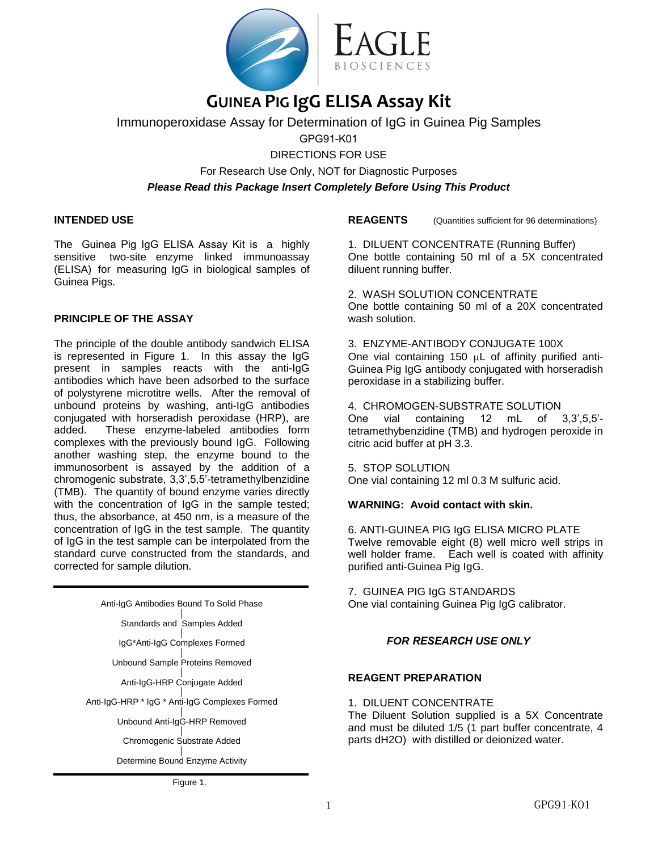

# **GUINEA PIG IgG ELISA Assay Kit**

Immunoperoxidase Assay for Determination of IgG in Guinea Pig Samples

GPG91-K01

DIRECTIONS FOR USE For Research Use Only, NOT for Diagnostic Purposes *Please Read this Package Insert Completely Before Using This Product* 

# **INTENDED USE**

The Guinea Pig IgG ELISA Assay Kit is a highly sensitive two-site enzyme linked immunoassay (ELISA) for measuring IgG in biological samples of Guinea Pigs.

# **PRINCIPLE OF THE ASSAY**

The principle of the double antibody sandwich ELISA is represented in Figure 1. In this assay the IgG present in samples reacts with the anti-IgG antibodies which have been adsorbed to the surface of polystyrene microtitre wells. After the removal of unbound proteins by washing, anti-IgG antibodies conjugated with horseradish peroxidase (HRP), are added. These enzyme-labeled antibodies form complexes with the previously bound IgG. Following another washing step, the enzyme bound to the immunosorbent is assayed by the addition of a chromogenic substrate, 3,3',5,5'-tetramethylbenzidine (TMB). The quantity of bound enzyme varies directly with the concentration of IgG in the sample tested; thus, the absorbance, at 450 nm, is a measure of the concentration of IgG in the test sample. The quantity of IgG in the test sample can be interpolated from the standard curve constructed from the standards, and corrected for sample dilution.

| Anti-IgG Antibodies Bound To Solid Phase       |  |  |  |
|------------------------------------------------|--|--|--|
| Standards and Samples Added                    |  |  |  |
| IgG*Anti-IgG Complexes Formed                  |  |  |  |
| Unbound Sample Proteins Removed                |  |  |  |
| Anti-IgG-HRP Conjugate Added                   |  |  |  |
| Anti-IgG-HRP * IgG * Anti-IgG Complexes Formed |  |  |  |
| Unbound Anti-IgG-HRP Removed                   |  |  |  |
| Chromogenic Substrate Added                    |  |  |  |
| Determine Bound Enzyme Activity                |  |  |  |

**REAGENTS** (Quantities sufficient for 96 determinations)

1. DILUENT CONCENTRATE (Running Buffer) One bottle containing 50 ml of a 5X concentrated diluent running buffer.

2. WASH SOLUTION CONCENTRATE One bottle containing 50 ml of a 20X concentrated wash solution

3. ENZYME-ANTIBODY CONJUGATE 100X One vial containing 150  $\mu$ L of affinity purified anti-Guinea Pig IgG antibody conjugated with horseradish peroxidase in a stabilizing buffer.

4. CHROMOGEN-SUBSTRATE SOLUTION One vial containing 12 mL of 3,3',5,5' tetramethybenzidine (TMB) and hydrogen peroxide in citric acid buffer at pH 3.3.

5. STOP SOLUTION

One vial containing 12 ml 0.3 M sulfuric acid.

# **WARNING: Avoid contact with skin.**

6. ANTI-GUINEA PIG IgG ELISA MICRO PLATE Twelve removable eight (8) well micro well strips in well holder frame. Each well is coated with affinity purified anti-Guinea Pig IgG.

7. GUINEA PIG IgG STANDARDS One vial containing Guinea Pig IgG calibrator.

# *FOR RESEARCH USE ONLY*

#### **REAGENT PREPARATION**

1. DILUENT CONCENTRATE

The Diluent Solution supplied is a 5X Concentrate and must be diluted 1/5 (1 part buffer concentrate, 4 parts dH2O) with distilled or deionized water.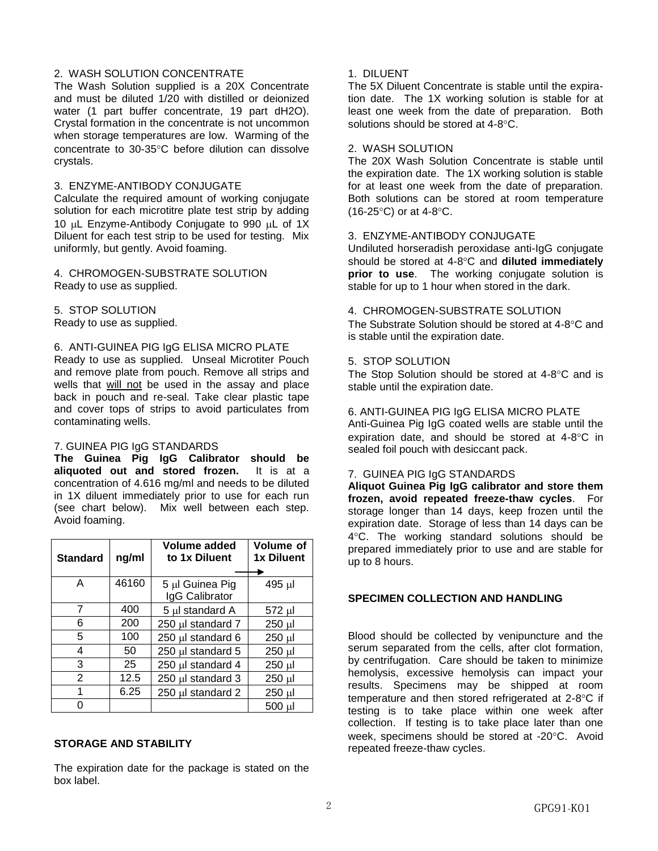# 2. WASH SOLUTION CONCENTRATE

The Wash Solution supplied is a 20X Concentrate and must be diluted 1/20 with distilled or deionized water (1 part buffer concentrate, 19 part dH2O). Crystal formation in the concentrate is not uncommon when storage temperatures are low. Warming of the concentrate to 30-35°C before dilution can dissolve crystals.

#### 3. ENZYME-ANTIBODY CONJUGATE

Calculate the required amount of working conjugate solution for each microtitre plate test strip by adding 10 µL Enzyme-Antibody Conjugate to 990 µL of 1X Diluent for each test strip to be used for testing. Mix uniformly, but gently. Avoid foaming.

4. CHROMOGEN-SUBSTRATE SOLUTION Ready to use as supplied.

5. STOP SOLUTION Ready to use as supplied.

#### 6. ANTI-GUINEA PIG IgG ELISA MICRO PLATE

Ready to use as supplied. Unseal Microtiter Pouch and remove plate from pouch. Remove all strips and wells that will not be used in the assay and place back in pouch and re-seal. Take clear plastic tape and cover tops of strips to avoid particulates from contaminating wells.

#### 7. GUINEA PIG IgG STANDARDS

**The Guinea Pig IgG Calibrator should be aliquoted out and stored frozen.** It is at a concentration of 4.616 mg/ml and needs to be diluted in 1X diluent immediately prior to use for each run (see chart below). Mix well between each step. Avoid foaming.

| <b>Standard</b> | ng/ml | <b>Volume added</b><br>to 1x Diluent | Volume of<br>1x Diluent |
|-----------------|-------|--------------------------------------|-------------------------|
|                 |       |                                      |                         |
| А               | 46160 | 5 µl Guinea Pig<br>IgG Calibrator    | 495 µl                  |
| 7               | 400   | 5 µl standard A                      | 572 µl                  |
| 6               | 200   | 250 µl standard 7                    | 250 µl                  |
| 5               | 100   | 250 µl standard 6                    | 250 µl                  |
| 4               | 50    | 250 µl standard 5                    | 250 µl                  |
| 3               | 25    | 250 µl standard 4                    | 250 µl                  |
| $\overline{2}$  | 12.5  | 250 µl standard 3                    | 250 µl                  |
| 1               | 6.25  | 250 µl standard 2                    | 250 µl                  |
|                 |       |                                      | 500 µl                  |

#### **STORAGE AND STABILITY**

The expiration date for the package is stated on the box label.

# 1. DILUENT

The 5X Diluent Concentrate is stable until the expiration date. The 1X working solution is stable for at least one week from the date of preparation. Both solutions should be stored at  $4-8$   $\degree$ C.

### 2. WASH SOLUTION

The 20X Wash Solution Concentrate is stable until the expiration date. The 1X working solution is stable for at least one week from the date of preparation. Both solutions can be stored at room temperature  $(16-25^{\circ}C)$  or at 4-8 $^{\circ}C$ .

# 3. ENZYME-ANTIBODY CONJUGATE

Undiluted horseradish peroxidase anti-IgG conjugate should be stored at 4-8°C and **diluted immediately prior to use**. The working conjugate solution is stable for up to 1 hour when stored in the dark.

#### 4. CHROMOGEN-SUBSTRATE SOLUTION

The Substrate Solution should be stored at 4-8°C and is stable until the expiration date.

# 5. STOP SOLUTION

The Stop Solution should be stored at  $4-8^{\circ}$ C and is stable until the expiration date.

# 6. ANTI-GUINEA PIG IgG ELISA MICRO PLATE

Anti-Guinea Pig IgG coated wells are stable until the expiration date, and should be stored at  $4-8^{\circ}$ C in sealed foil pouch with desiccant pack.

#### 7. GUINEA PIG IgG STANDARDS

**Aliquot Guinea Pig IgG calibrator and store them frozen, avoid repeated freeze-thaw cycles**. For storage longer than 14 days, keep frozen until the expiration date. Storage of less than 14 days can be 4C. The working standard solutions should be prepared immediately prior to use and are stable for up to 8 hours.

# **SPECIMEN COLLECTION AND HANDLING**

Blood should be collected by venipuncture and the serum separated from the cells, after clot formation, by centrifugation. Care should be taken to minimize hemolysis, excessive hemolysis can impact your results. Specimens may be shipped at room temperature and then stored refrigerated at  $2-8$ °C if testing is to take place within one week after collection. If testing is to take place later than one week, specimens should be stored at -20°C. Avoid repeated freeze-thaw cycles.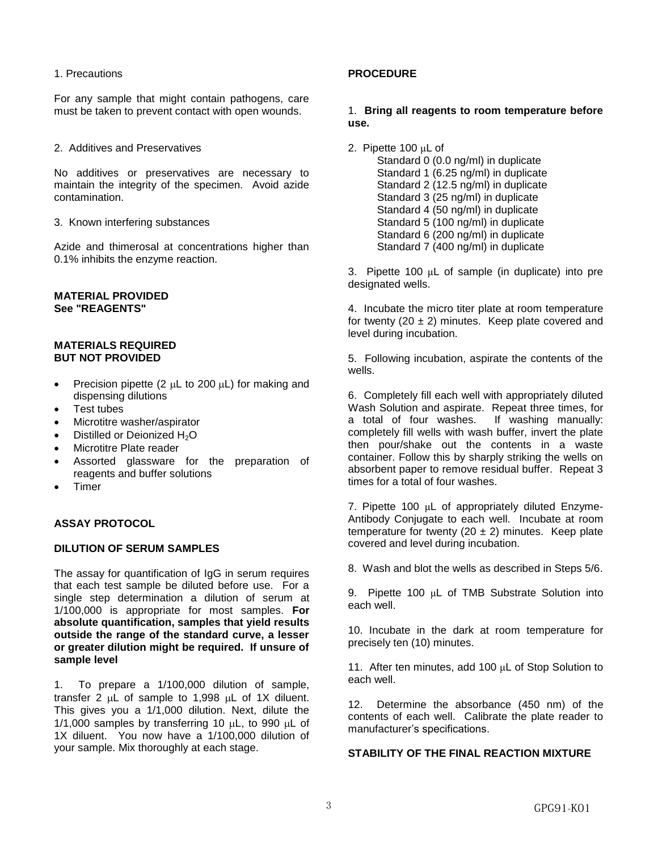1. Precautions

For any sample that might contain pathogens, care must be taken to prevent contact with open wounds.

2. Additives and Preservatives

No additives or preservatives are necessary to maintain the integrity of the specimen. Avoid azide contamination.

3. Known interfering substances

Azide and thimerosal at concentrations higher than 0.1% inhibits the enzyme reaction.

# **MATERIAL PROVIDED See "REAGENTS"**

#### **MATERIALS REQUIRED BUT NOT PROVIDED**

- Precision pipette (2  $\mu$ L to 200  $\mu$ L) for making and dispensing dilutions
- Test tubes
- Microtitre washer/aspirator
- Distilled or Deionized H<sub>2</sub>O
- Microtitre Plate reader
- Assorted glassware for the preparation of reagents and buffer solutions
- Timer

# **ASSAY PROTOCOL**

#### **DILUTION OF SERUM SAMPLES**

The assay for quantification of IgG in serum requires that each test sample be diluted before use. For a single step determination a dilution of serum at 1/100,000 is appropriate for most samples. **For absolute quantification, samples that yield results outside the range of the standard curve, a lesser or greater dilution might be required. If unsure of sample level** 

1. To prepare a 1/100,000 dilution of sample, transfer 2  $\mu$ L of sample to 1,998  $\mu$ L of 1X diluent. This gives you a 1/1,000 dilution. Next, dilute the  $1/1,000$  samples by transferring 10  $\mu$ L, to 990  $\mu$ L of 1X diluent. You now have a 1/100,000 dilution of your sample. Mix thoroughly at each stage.

# **PROCEDURE**

#### 1. **Bring all reagents to room temperature before use.**

2. Pipette 100 μL of Standard 0 (0.0 ng/ml) in duplicate Standard 1 (6.25 ng/ml) in duplicate Standard 2 (12.5 ng/ml) in duplicate Standard 3 (25 ng/ml) in duplicate Standard 4 (50 ng/ml) in duplicate Standard 5 (100 ng/ml) in duplicate Standard 6 (200 ng/ml) in duplicate Standard 7 (400 ng/ml) in duplicate

3. Pipette 100 μL of sample (in duplicate) into pre designated wells.

4. Incubate the micro titer plate at room temperature for twenty (20  $\pm$  2) minutes. Keep plate covered and level during incubation.

5. Following incubation, aspirate the contents of the wells.

6. Completely fill each well with appropriately diluted Wash Solution and aspirate. Repeat three times, for a total of four washes. If washing manually: completely fill wells with wash buffer, invert the plate then pour/shake out the contents in a waste container. Follow this by sharply striking the wells on absorbent paper to remove residual buffer. Repeat 3 times for a total of four washes.

7. Pipette 100 μL of appropriately diluted Enzyme-Antibody Conjugate to each well. Incubate at room temperature for twenty (20  $\pm$  2) minutes. Keep plate covered and level during incubation.

8. Wash and blot the wells as described in Steps 5/6.

9. Pipette 100 μL of TMB Substrate Solution into each well.

10. Incubate in the dark at room temperature for precisely ten (10) minutes.

11. After ten minutes, add 100 μL of Stop Solution to each well.

12. Determine the absorbance (450 nm) of the contents of each well. Calibrate the plate reader to manufacturer's specifications.

# **STABILITY OF THE FINAL REACTION MIXTURE**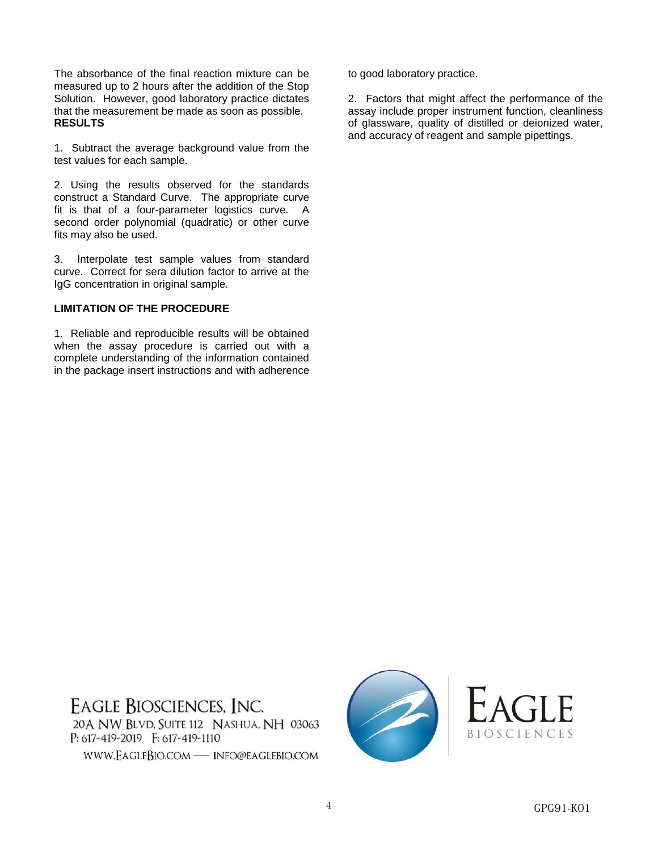The absorbance of the final reaction mixture can be measured up to 2 hours after the addition of the Stop Solution. However, good laboratory practice dictates that the measurement be made as soon as possible. **RESULTS** 

1. Subtract the average background value from the test values for each sample.

2. Using the results observed for the standards construct a Standard Curve. The appropriate curve fit is that of a four-parameter logistics curve. A second order polynomial (quadratic) or other curve fits may also be used.

3. Interpolate test sample values from standard curve. Correct for sera dilution factor to arrive at the IgG concentration in original sample.

#### **LIMITATION OF THE PROCEDURE**

1. Reliable and reproducible results will be obtained when the assay procedure is carried out with a complete understanding of the information contained in the package insert instructions and with adherence to good laboratory practice.

2. Factors that might affect the performance of the assay include proper instrument function, cleanliness of glassware, quality of distilled or deionized water, and accuracy of reagent and sample pipettings.

**EAGLE BIOSCIENCES, INC.** 20 A NW BLVD, SUITE 112 NASHUA, NH 03063  $P: 617 - 419 - 2019$   $F: 617 - 419 - 1110$ WWW.EAGLEBIO.COM - INFO@EAGLEBIO.COM